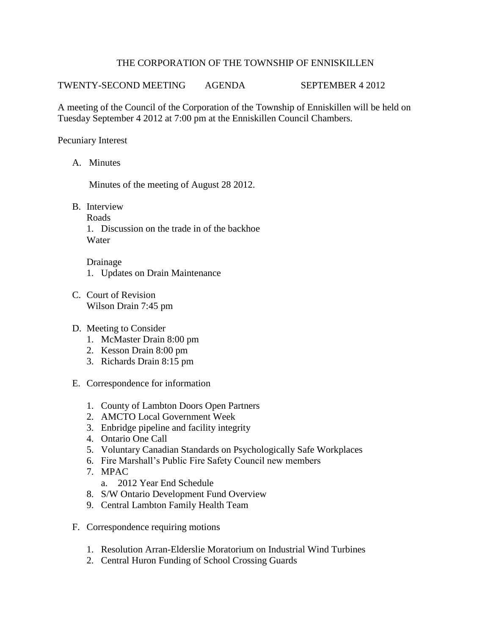## THE CORPORATION OF THE TOWNSHIP OF ENNISKILLEN

TWENTY-SECOND MEETING AGENDA SEPTEMBER 4 2012

A meeting of the Council of the Corporation of the Township of Enniskillen will be held on Tuesday September 4 2012 at 7:00 pm at the Enniskillen Council Chambers.

Pecuniary Interest

A. Minutes

Minutes of the meeting of August 28 2012.

- B. Interview
	- Roads

1. Discussion on the trade in of the backhoe **Water** 

Drainage 1. Updates on Drain Maintenance

- C. Court of Revision Wilson Drain 7:45 pm
- D. Meeting to Consider
	- 1. McMaster Drain 8:00 pm
	- 2. Kesson Drain 8:00 pm
	- 3. Richards Drain 8:15 pm
- E. Correspondence for information
	- 1. County of Lambton Doors Open Partners
	- 2. AMCTO Local Government Week
	- 3. Enbridge pipeline and facility integrity
	- 4. Ontario One Call
	- 5. Voluntary Canadian Standards on Psychologically Safe Workplaces
	- 6. Fire Marshall's Public Fire Safety Council new members
	- 7. MPAC
		- a. 2012 Year End Schedule
	- 8. S/W Ontario Development Fund Overview
	- 9. Central Lambton Family Health Team
- F. Correspondence requiring motions
	- 1. Resolution Arran-Elderslie Moratorium on Industrial Wind Turbines
	- 2. Central Huron Funding of School Crossing Guards